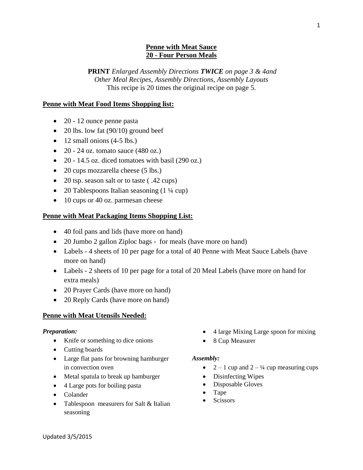## **Penne with Meat Sauce 20 - Four Person Meals**

**PRINT** *Enlarged Assembly Directions TWICE on page 3 & 4and Other Meal Recipes, Assembly Directions, Assembly Layouts* This recipe is 20 times the original recipe on page 5.

## **Penne with Meat Food Items Shopping list:**

- 20 12 ounce penne pasta
- 20 lbs. low fat  $(90/10)$  ground beef
- $\bullet$  12 small onions (4-5 lbs.)
- 20 24 oz. tomato sauce  $(480 \text{ oz.})$
- $\bullet$  20 14.5 oz. diced tomatoes with basil (290 oz.)
- 20 cups mozzarella cheese (5 lbs.)
- 20 tsp. season salt or to taste (.42 cups)
- 20 Tablespoons Italian seasoning  $(1\frac{1}{4}$  cup)
- 10 cups or 40 oz. parmesan cheese

### **Penne with Meat Packaging Items Shopping List:**

- 40 foil pans and lids (have more on hand)
- 20 Jumbo 2 gallon Ziploc bags for meals (have more on hand)
- Labels 4 sheets of 10 per page for a total of 40 Penne with Meat Sauce Labels (have more on hand)
- Labels 2 sheets of 10 per page for a total of 20 Meal Labels (have more on hand for extra meals)
- 20 Prayer Cards (have more on hand)
- 20 Reply Cards (have more on hand)

#### **Penne with Meat Utensils Needed:**

#### *Preparation:*

- Knife or something to dice onions
- Cutting boards
- Large flat pans for browning hamburger in convection oven
- Metal spatula to break up hamburger
- 4 Large pots for boiling pasta
- Colander
- Tablespoon measurers for Salt & Italian seasoning
- 4 large Mixing Large spoon for mixing
- 8 Cup Measurer

#### *Assembly:*

- $2 1$  cup and  $2 \frac{1}{4}$  cup measuring cups
- Disinfecting Wipes
- Disposable Gloves
- Tape
- Scissors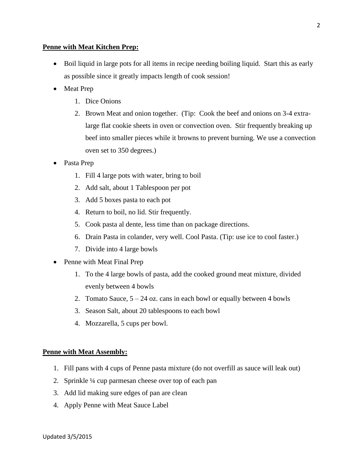### **Penne with Meat Kitchen Prep:**

- Boil liquid in large pots for all items in recipe needing boiling liquid. Start this as early as possible since it greatly impacts length of cook session!
- Meat Prep
	- 1. Dice Onions
	- 2. Brown Meat and onion together. (Tip: Cook the beef and onions on 3-4 extralarge flat cookie sheets in oven or convection oven. Stir frequently breaking up beef into smaller pieces while it browns to prevent burning. We use a convection oven set to 350 degrees.)
- Pasta Prep
	- 1. Fill 4 large pots with water, bring to boil
	- 2. Add salt, about 1 Tablespoon per pot
	- 3. Add 5 boxes pasta to each pot
	- 4. Return to boil, no lid. Stir frequently.
	- 5. Cook pasta al dente, less time than on package directions.
	- 6. Drain Pasta in colander, very well. Cool Pasta. (Tip: use ice to cool faster.)
	- 7. Divide into 4 large bowls
- Penne with Meat Final Prep
	- 1. To the 4 large bowls of pasta, add the cooked ground meat mixture, divided evenly between 4 bowls
	- 2. Tomato Sauce,  $5 24$  oz. cans in each bowl or equally between 4 bowls
	- 3. Season Salt, about 20 tablespoons to each bowl
	- 4. Mozzarella, 5 cups per bowl.

## **Penne with Meat Assembly:**

- 1. Fill pans with 4 cups of Penne pasta mixture (do not overfill as sauce will leak out)
- 2. Sprinkle ¼ cup parmesan cheese over top of each pan
- 3. Add lid making sure edges of pan are clean
- 4. Apply Penne with Meat Sauce Label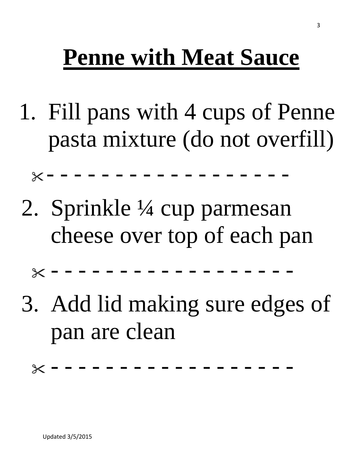# **Penne with Meat Sauce**

1. Fill pans with 4 cups of Penne pasta mixture (do not overfill)

- - - - - - - - - - - - - - - - - -

2. Sprinkle ¼ cup parmesan cheese over top of each pan

 $\times$  - - - - - -

3. Add lid making sure edges of pan are clean

- - - - - - - - - - - - - - - - - -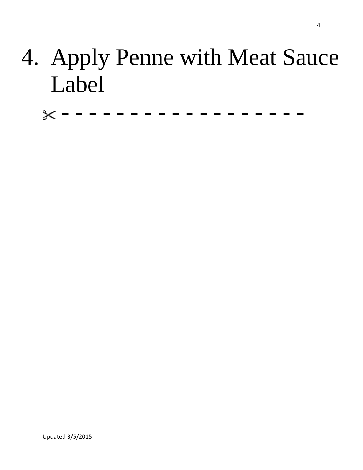# 4. Apply Penne with Meat Sauce Label

- - - - - - - - - - - - - - - - - -